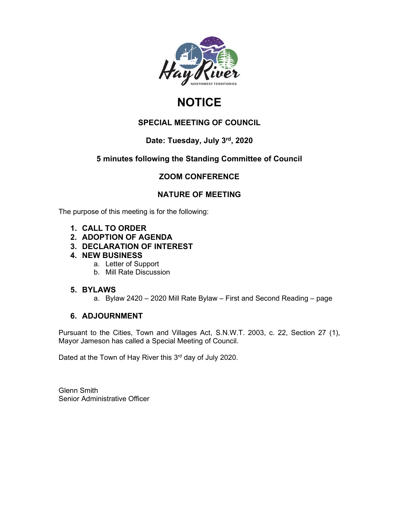

# **NOTICE**

### **SPECIAL MEETING OF COUNCIL**

### **Date: Tuesday, July 3rd, 2020**

### **5 minutes following the Standing Committee of Council**

### **ZOOM CONFERENCE**

### **NATURE OF MEETING**

The purpose of this meeting is for the following:

- **1. CALL TO ORDER**
- **2. ADOPTION OF AGENDA**
- **3. DECLARATION OF INTEREST**
- **4. NEW BUSINESS**
	- a. Letter of Support
	- b. Mill Rate Discussion

### **5. BYLAWS**

a. Bylaw 2420 – 2020 Mill Rate Bylaw – First and Second Reading – page

### **6. ADJOURNMENT**

Pursuant to the Cities, Town and Villages Act, S.N.W.T. 2003, c. 22, Section 27 (1), Mayor Jameson has called a Special Meeting of Council.

Dated at the Town of Hay River this 3<sup>rd</sup> day of July 2020.

Glenn Smith Senior Administrative Officer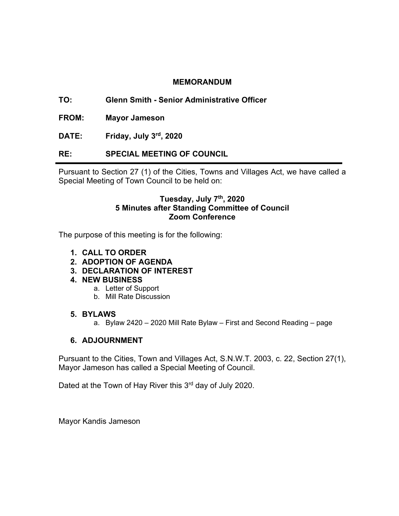### **MEMORANDUM**

**TO: Glenn Smith - Senior Administrative Officer**

**FROM: Mayor Jameson**

**DATE: Friday, July 3rd, 2020**

### **RE: SPECIAL MEETING OF COUNCIL**

Pursuant to Section 27 (1) of the Cities, Towns and Villages Act, we have called a Special Meeting of Town Council to be held on:

### **Tuesday, July 7th, 2020 5 Minutes after Standing Committee of Council Zoom Conference**

The purpose of this meeting is for the following:

- **1. CALL TO ORDER**
- **2. ADOPTION OF AGENDA**
- **3. DECLARATION OF INTEREST**
- **4. NEW BUSINESS**
	- a. Letter of Support
	- b. Mill Rate Discussion

### **5. BYLAWS**

a. Bylaw 2420 – 2020 Mill Rate Bylaw – First and Second Reading – page

### **6. ADJOURNMENT**

Pursuant to the Cities, Town and Villages Act, S.N.W.T. 2003, c. 22, Section 27(1), Mayor Jameson has called a Special Meeting of Council.

Dated at the Town of Hay River this 3<sup>rd</sup> day of July 2020.

Mayor Kandis Jameson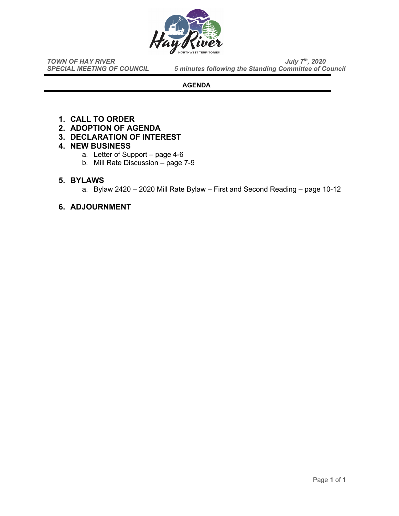

*TOWN OF HAY RIVER*<br>*SPECIAL MEETING OF COUNCIL* 5 minutes following the Standing Committee of Co **5 minutes following the Standing Committee of Council** 

### **AGENDA**

- **1. CALL TO ORDER**
- **2. ADOPTION OF AGENDA**
- **3. DECLARATION OF INTEREST**

### **4. NEW BUSINESS**

- a. Letter of Support page 4-6
- b. Mill Rate Discussion page 7-9

### **5. BYLAWS**

a. Bylaw 2420 – 2020 Mill Rate Bylaw – First and Second Reading – page 10-12

### **6. ADJOURNMENT**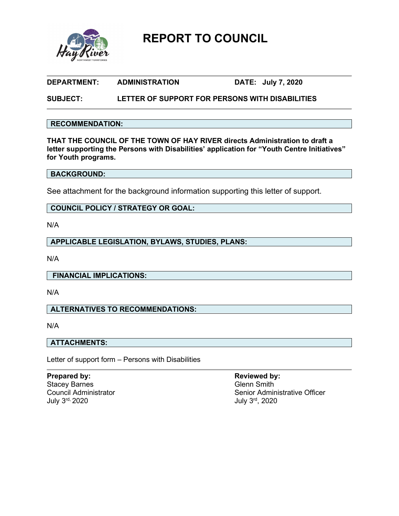

**REPORT TO COUNCIL**

### **DEPARTMENT: ADMINISTRATION DATE: July 7, 2020**

### **SUBJECT: LETTER OF SUPPORT FOR PERSONS WITH DISABILITIES**

### **RECOMMENDATION:**

**THAT THE COUNCIL OF THE TOWN OF HAY RIVER directs Administration to draft a letter supporting the Persons with Disabilities' application for "Youth Centre Initiatives" for Youth programs.**

### **BACKGROUND:**

See attachment for the background information supporting this letter of support.

### **COUNCIL POLICY / STRATEGY OR GOAL:**

N/A

**APPLICABLE LEGISLATION, BYLAWS, STUDIES, PLANS:**

N/A

**FINANCIAL IMPLICATIONS:**

N/A

### **ALTERNATIVES TO RECOMMENDATIONS:**

N/A

### **ATTACHMENTS:**

Letter of support form – Persons with Disabilities

**Prepared by: Reviewed by: Reviewed by: Reviewed by: Reviewed by: Reviewed by: Reviewed by: Reviewed by: Reviewed by: Reviewed by: Reviewed by: Reviewed by: Reviewed by: Reviewed by: Reviewed by** Stacey Barnes

# Council Administrator Council Administrator Senior Administrative Officer<br>
July 3<sup>rd,</sup> 2020 July 3rd, 2020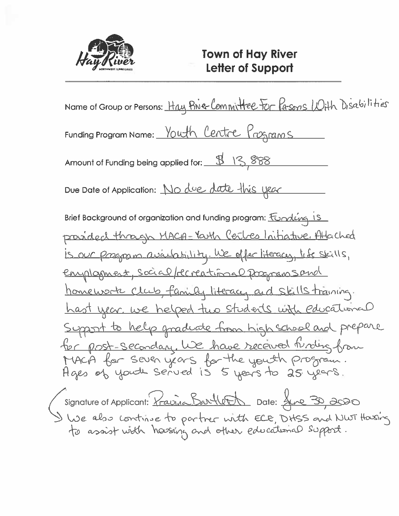

Name of Group or Persons: Hay Bive Committee For Pasons With Disabilities Funding Program Name: <u>Youth Centre Programs</u> Amount of Funding being applied for: 413,888 Due Date of Application: No due date this year Brief Background of organization and funding program: Fondeing 15 provided through MACA-Yarth Cerbes Initiative, Attached is our program availability. We offer literacy, life skills, enployment, social/recreational programs and homework club, family literacy and skills training. <u>hast year, we helped two students with educational</u> Support to help graduate from high school and prepare for post-secondary. We have received finding from MACA for seven years for the youth program.<br>Ages of youth served is 5 years to 25 years. Signature of Applicant: Pravince Bartlett Date: June 30, 2000<br>I We also continue to partner with ELE, DHSS and NWT Hasing<br>to assist with hassing and other educational support.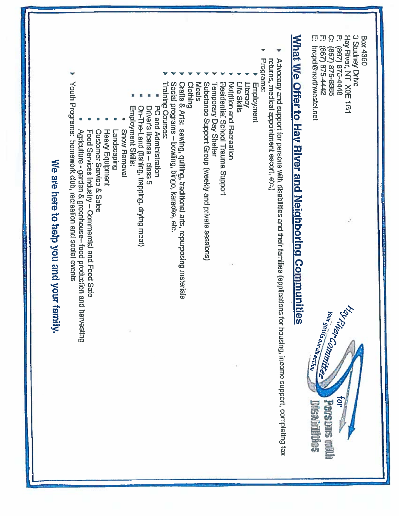$\Omega$ P. Hay River, NT X0E 1G1 3 Studney Drive **Box 4360** 867) 875-4448

- (867) 875-8385
- $\boldsymbol{\Gamma}$ (867) 875-4442
- Ü hrcpd@northwestel.net



# What We Offer to Hay River and Neighboring Communities

- Advocacy and support for persons with disabilities and their families (applications for housing, income support, completing tax returns, medical appointment escort, etc.)
- Programs:
- Employment
- Literacy
- Life Skills
- Nutrition and Hecteation
- 
- Residential School Trauma Support
- **Temporary Day Shelter**
- Substance Support Group (weekly and private sessions)
- Meals
- 
- Clothing<br>Crafts & Arts: sewing, quilting, traditional arts, repurposing materials<br>Crafts & Arts: sewing, quilting, traditional arts,
- Social programs bowling, bingo, karaoke, etc.
- 
- Training Courses:
- PC and Administration
- Driver's license class 5
- On-The-Land (fishing, trapping, drying meat)
- Employment Skills:
- **Snow Removal**
- 
- Landscaping
- **Heavy Equipment**
- Customer Service & Sales
- 
- Food Services Industry Commercial and Food Safe
- Agriculture garden & greenhouse- food production and harvesting
- Youth Programs: homework club, recreation and social events

# We are here to help you and your family.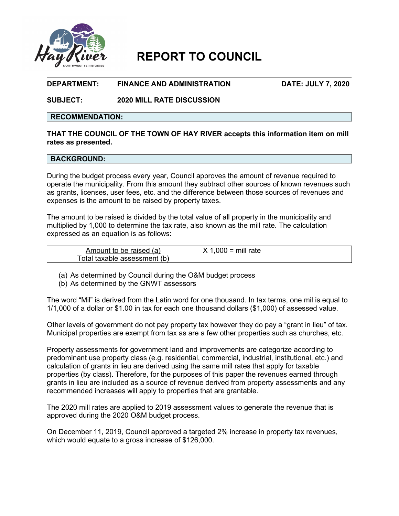

## **REPORT TO COUNCIL**

### **DEPARTMENT: FINANCE AND ADMINISTRATION DATE: JULY 7, 2020**

**SUBJECT: 2020 MILL RATE DISCUSSION**

### **RECOMMENDATION:**

### **THAT THE COUNCIL OF THE TOWN OF HAY RIVER accepts this information item on mill rates as presented.**

### **BACKGROUND:**

During the budget process every year, Council approves the amount of revenue required to operate the municipality. From this amount they subtract other sources of known revenues such as grants, licenses, user fees, etc. and the difference between those sources of revenues and expenses is the amount to be raised by property taxes.

The amount to be raised is divided by the total value of all property in the municipality and multiplied by 1,000 to determine the tax rate, also known as the mill rate. The calculation expressed as an equation is as follows:

| Amount to be raised (a)      | $X$ 1,000 = mill rate |  |
|------------------------------|-----------------------|--|
| Total taxable assessment (b) |                       |  |

(a) As determined by Council during the O&M budget process

(b) As determined by the GNWT assessors

The word "Mil" is derived from the Latin word for one thousand. In tax terms, one mil is equal to 1/1,000 of a dollar or \$1.00 in tax for each one thousand dollars (\$1,000) of assessed value.

Other levels of government do not pay property tax however they do pay a "grant in lieu" of tax. Municipal properties are exempt from tax as are a few other properties such as churches, etc.

Property assessments for government land and improvements are categorize according to predominant use property class (e.g. residential, commercial, industrial, institutional, etc.) and calculation of grants in lieu are derived using the same mill rates that apply for taxable properties (by class). Therefore, for the purposes of this paper the revenues earned through grants in lieu are included as a source of revenue derived from property assessments and any recommended increases will apply to properties that are grantable.

The 2020 mill rates are applied to 2019 assessment values to generate the revenue that is approved during the 2020 O&M budget process.

On December 11, 2019, Council approved a targeted 2% increase in property tax revenues, which would equate to a gross increase of \$126,000.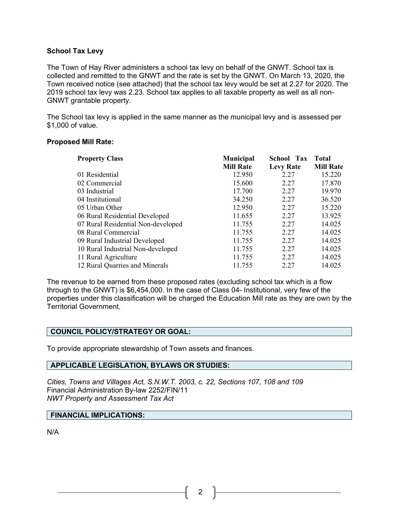### **School Tax Levy**

The Town of Hay River administers a school tax levy on behalf of the GNWT. School tax is collected and remitted to the GNWT and the rate is set by the GNWT. On March 13, 2020, the Town received notice (see attached) that the school tax levy would be set at 2.27 for 2020. The 2019 school tax levy was 2.23. School tax applies to all taxable property as well as all non-GNWT grantable property.

The School tax levy is applied in the same manner as the municipal levy and is assessed per \$1,000 of value.

### **Proposed Mill Rate:**

| <b>Property Class</b>              | <b>Municipal</b> | <b>School Tax</b> | <b>Total</b>     |
|------------------------------------|------------------|-------------------|------------------|
|                                    | <b>Mill Rate</b> | <b>Levy Rate</b>  | <b>Mill Rate</b> |
| 01 Residential                     | 12.950           | 2.27              | 15.220           |
| 02 Commercial                      | 15.600           | 2.27              | 17.870           |
| 03 Industrial                      | 17.700           | 2.27              | 19.970           |
| 04 Institutional                   | 34.250           | 2.27              | 36.520           |
| 05 Urban Other                     | 12.950           | 2.27              | 15.220           |
| 06 Rural Residential Developed     | 11.655           | 2.27              | 13.925           |
| 07 Rural Residential Non-developed | 11.755           | 2.27              | 14.025           |
| 08 Rural Commercial                | 11.755           | 2.27              | 14.025           |
| 09 Rural Industrial Developed      | 11.755           | 2.27              | 14.025           |
| 10 Rural Industrial Non-developed  | 11.755           | 2.27              | 14.025           |
| 11 Rural Agriculture               | 11.755           | 2.27              | 14.025           |
| 12 Rural Quarries and Minerals     | 11.755           | 2.27              | 14.025           |

The revenue to be earned from these proposed rates (excluding school tax which is a flow through to the GNWT) is \$6,454,000. In the case of Class 04- Institutional, very few of the properties under this classification will be charged the Education Mill rate as they are own by the Territorial Government.

### **COUNCIL POLICY/STRATEGY OR GOAL:**

To provide appropriate stewardship of Town assets and finances.

### **APPLICABLE LEGISLATION, BYLAWS OR STUDIES:**

*Cities, Towns and Villages Act, S.N.W.T. 2003, c. 22, Sections 107, 108 and 109* Financial Administration By-law 2252/FIN/11 *NWT Property and Assessment Tax Act*

### **FINANCIAL IMPLICATIONS:**

N/A

2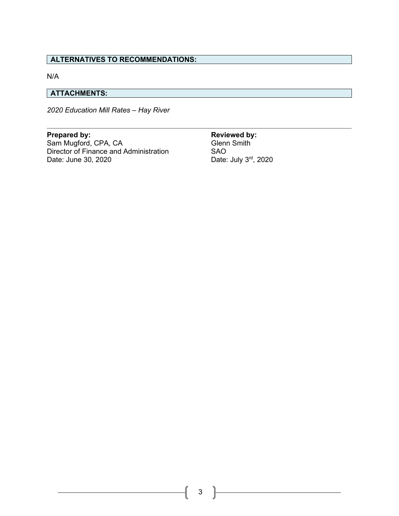### **ALTERNATIVES TO RECOMMENDATIONS:**

N/A

### **ATTACHMENTS:**

*2020 Education Mill Rates – Hay River*

**Prepared by: Reviewed by:**  Sam Mugford, CPA, CA<br>Director of Finance and Administration SAO Director of Finance and Administration<br>Date: June 30, 2020

Date: July 3rd, 2020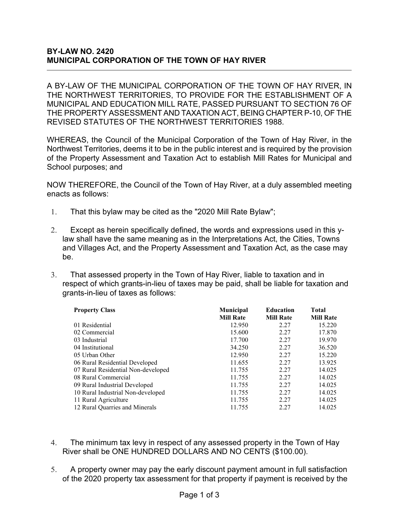### **BY-LAW NO. 2420 MUNICIPAL CORPORATION OF THE TOWN OF HAY RIVER**

A BY-LAW OF THE MUNICIPAL CORPORATION OF THE TOWN OF HAY RIVER, IN THE NORTHWEST TERRITORIES, TO PROVIDE FOR THE ESTABLISHMENT OF A MUNICIPAL AND EDUCATION MILL RATE, PASSED PURSUANT TO SECTION 76 OF THE PROPERTY ASSESSMENT AND TAXATION ACT, BEING CHAPTER P-10, OF THE REVISED STATUTES OF THE NORTHWEST TERRITORIES 1988.

WHEREAS, the Council of the Municipal Corporation of the Town of Hay River, in the Northwest Territories, deems it to be in the public interest and is required by the provision of the Property Assessment and Taxation Act to establish Mill Rates for Municipal and School purposes; and

NOW THEREFORE, the Council of the Town of Hay River, at a duly assembled meeting enacts as follows:

- 1. That this bylaw may be cited as the "2020 Mill Rate Bylaw";
- 2. Except as herein specifically defined, the words and expressions used in this ylaw shall have the same meaning as in the Interpretations Act, the Cities, Towns and Villages Act, and the Property Assessment and Taxation Act, as the case may be.
- 3. That assessed property in the Town of Hay River, liable to taxation and in respect of which grants-in-lieu of taxes may be paid, shall be liable for taxation and grants-in-lieu of taxes as follows:

| <b>Property Class</b>              | Municipal<br><b>Mill Rate</b> | <b>Education</b><br><b>Mill Rate</b> | <b>Total</b><br><b>Mill Rate</b> |
|------------------------------------|-------------------------------|--------------------------------------|----------------------------------|
| 01 Residential                     | 12.950                        | 2.27                                 | 15.220                           |
|                                    |                               |                                      |                                  |
| 02 Commercial                      | 15.600                        | 2.27                                 | 17.870                           |
| 03 Industrial                      | 17.700                        | 2.27                                 | 19.970                           |
| 04 Institutional                   | 34.250                        | 2.27                                 | 36.520                           |
| 05 Urban Other                     | 12.950                        | 2.27                                 | 15.220                           |
| 06 Rural Residential Developed     | 11.655                        | 2.27                                 | 13.925                           |
| 07 Rural Residential Non-developed | 11.755                        | 2.27                                 | 14.025                           |
| 08 Rural Commercial                | 11.755                        | 2.27                                 | 14.025                           |
| 09 Rural Industrial Developed      | 11.755                        | 2.27                                 | 14.025                           |
| 10 Rural Industrial Non-developed  | 11.755                        | 2.27                                 | 14.025                           |
| 11 Rural Agriculture               | 11.755                        | 2.27                                 | 14.025                           |
| 12 Rural Quarries and Minerals     | 11.755                        | 2.27                                 | 14.025                           |

- 4. The minimum tax levy in respect of any assessed property in the Town of Hay River shall be ONE HUNDRED DOLLARS AND NO CENTS (\$100.00).
- 5. A property owner may pay the early discount payment amount in full satisfaction of the 2020 property tax assessment for that property if payment is received by the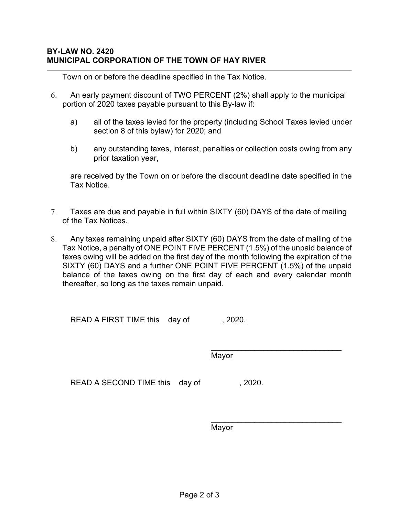Town on or before the deadline specified in the Tax Notice.

- 6. An early payment discount of TWO PERCENT (2%) shall apply to the municipal portion of 2020 taxes payable pursuant to this By-law if:
	- a) all of the taxes levied for the property (including School Taxes levied under section 8 of this bylaw) for 2020; and
	- b) any outstanding taxes, interest, penalties or collection costs owing from any prior taxation year,

are received by the Town on or before the discount deadline date specified in the Tax Notice.

- 7. Taxes are due and payable in full within SIXTY (60) DAYS of the date of mailing of the Tax Notices.
- 8. Any taxes remaining unpaid after SIXTY (60) DAYS from the date of mailing of the Tax Notice, a penalty of ONE POINT FIVE PERCENT (1.5%) of the unpaid balance of taxes owing will be added on the first day of the month following the expiration of the SIXTY (60) DAYS and a further ONE POINT FIVE PERCENT (1.5%) of the unpaid balance of the taxes owing on the first day of each and every calendar month thereafter, so long as the taxes remain unpaid.

READ A FIRST TIME this day of , 2020.

\_\_\_\_\_\_\_\_\_\_\_\_\_\_\_\_\_\_\_\_\_\_\_\_\_\_\_\_\_\_ Mayor

READ A SECOND TIME this day of , 2020.

\_\_\_\_\_\_\_\_\_\_\_\_\_\_\_\_\_\_\_\_\_\_\_\_\_\_\_\_\_\_

Mayor